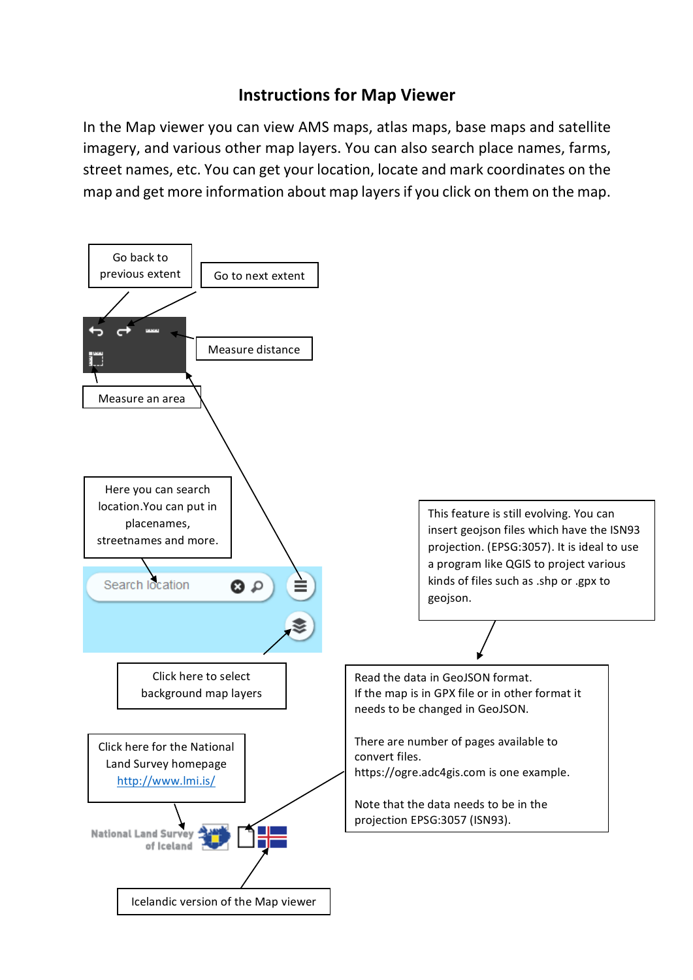## **Instructions for Map Viewer**

In the Map viewer you can view AMS maps, atlas maps, base maps and satellite imagery, and various other map layers. You can also search place names, farms, street names, etc. You can get your location, locate and mark coordinates on the map and get more information about map layers if you click on them on the map.

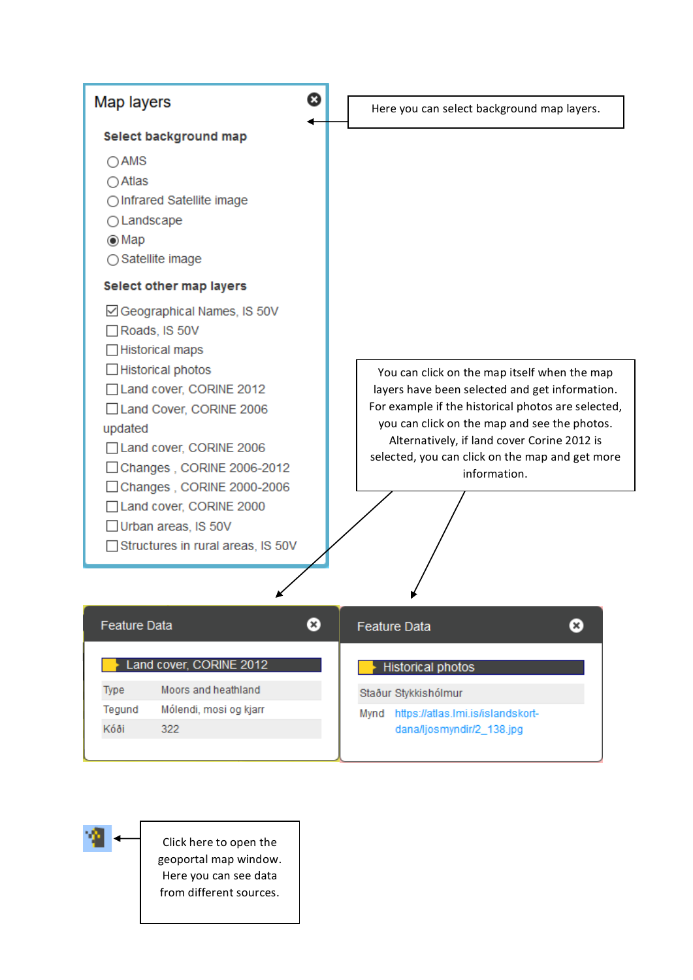

dana/ljosmyndir/2\_138.jpg

Click here to open the geoportal map window. Here you can see data from different sources.

Kóði

322